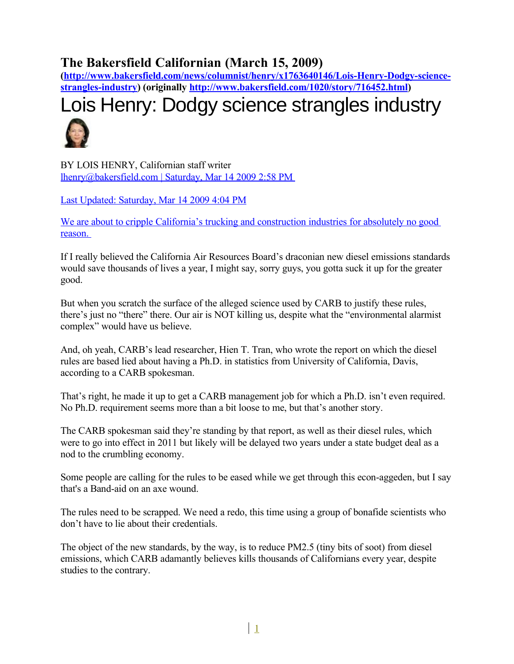### **The Bakersfield Californian (March 15, 2009)**

**[\(http://www.bakersfield.com/news/columnist/henry/x1763640146/Lois-Henry-Dodgy-science](http://www.bakersfield.com/news/columnist/henry/x1763640146/Lois-Henry-Dodgy-science-strangles-industry)[strangles-industry\)](http://www.bakersfield.com/news/columnist/henry/x1763640146/Lois-Henry-Dodgy-science-strangles-industry) (originally [http://www.bakersfield.com/1020/story/716452.html\)](http://www.bakersfield.com/1020/story/716452.html)**

# Lois Henry: Dodgy science strangles industry



BY LOIS HENRY, Californian staff writer [lhenry@bakersfield.com | Saturday, Mar 14 2009 2:58 PM](mailto:lhenry@bakersfield.com%20%7C%20Saturday,%20Mar%2014%202009%202:58%20PM%20%0DLast%20Updated:%20Saturday,%20Mar%2014%202009%204:04%20PM%0DWe%20are%20about%20to%20cripple%20California) 

[Last Updated: Saturday, Mar 14 2009 4:04 PM](mailto:lhenry@bakersfield.com%20%7C%20Saturday,%20Mar%2014%202009%202:58%20PM%20%0DLast%20Updated:%20Saturday,%20Mar%2014%202009%204:04%20PM%0DWe%20are%20about%20to%20cripple%20California)

[We are about to cripple California's trucking and construction industries for absolutely no good](mailto:lhenry@bakersfield.com%20%7C%20Saturday,%20Mar%2014%202009%202:58%20PM%20%0DLast%20Updated:%20Saturday,%20Mar%2014%202009%204:04%20PM%0DWe%20are%20about%20to%20cripple%20California) [reason.](mailto:lhenry@bakersfield.com%20%7C%20Saturday,%20Mar%2014%202009%202:58%20PM%20%0DLast%20Updated:%20Saturday,%20Mar%2014%202009%204:04%20PM%0DWe%20are%20about%20to%20cripple%20California) 

If I really believed the California Air Resources Board's draconian new diesel emissions standards would save thousands of lives a year, I might say, sorry guys, you gotta suck it up for the greater good.

But when you scratch the surface of the alleged science used by CARB to justify these rules, there's just no "there" there. Our air is NOT killing us, despite what the "environmental alarmist complex" would have us believe.

And, oh yeah, CARB's lead researcher, Hien T. Tran, who wrote the report on which the diesel rules are based lied about having a Ph.D. in statistics from University of California, Davis, according to a CARB spokesman.

That's right, he made it up to get a CARB management job for which a Ph.D. isn't even required. No Ph.D. requirement seems more than a bit loose to me, but that's another story.

The CARB spokesman said they're standing by that report, as well as their diesel rules, which were to go into effect in 2011 but likely will be delayed two years under a state budget deal as a nod to the crumbling economy.

Some people are calling for the rules to be eased while we get through this econ-aggeden, but I say that's a Band-aid on an axe wound.

The rules need to be scrapped. We need a redo, this time using a group of bonafide scientists who don't have to lie about their credentials.

The object of the new standards, by the way, is to reduce PM2.5 (tiny bits of soot) from diesel emissions, which CARB adamantly believes kills thousands of Californians every year, despite studies to the contrary.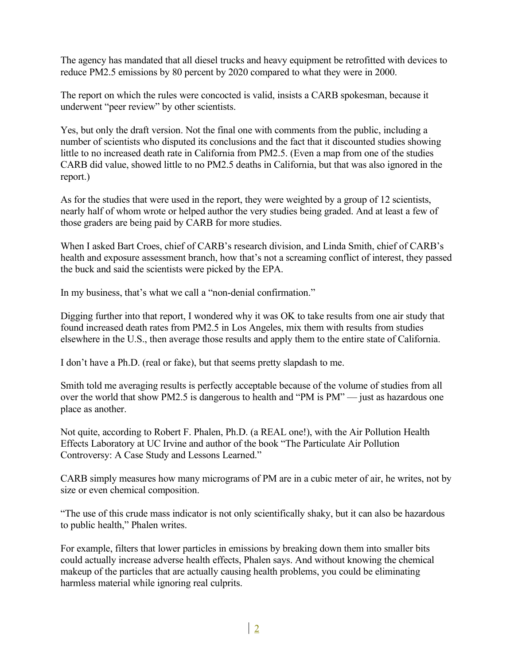The agency has mandated that all diesel trucks and heavy equipment be retrofitted with devices to reduce PM2.5 emissions by 80 percent by 2020 compared to what they were in 2000.

The report on which the rules were concocted is valid, insists a CARB spokesman, because it underwent "peer review" by other scientists.

Yes, but only the draft version. Not the final one with comments from the public, including a number of scientists who disputed its conclusions and the fact that it discounted studies showing little to no increased death rate in California from PM2.5. (Even a map from one of the studies CARB did value, showed little to no PM2.5 deaths in California, but that was also ignored in the report.)

As for the studies that were used in the report, they were weighted by a group of 12 scientists, nearly half of whom wrote or helped author the very studies being graded. And at least a few of those graders are being paid by CARB for more studies.

When I asked Bart Croes, chief of CARB's research division, and Linda Smith, chief of CARB's health and exposure assessment branch, how that's not a screaming conflict of interest, they passed the buck and said the scientists were picked by the EPA.

In my business, that's what we call a "non-denial confirmation."

Digging further into that report, I wondered why it was OK to take results from one air study that found increased death rates from PM2.5 in Los Angeles, mix them with results from studies elsewhere in the U.S., then average those results and apply them to the entire state of California.

I don't have a Ph.D. (real or fake), but that seems pretty slapdash to me.

Smith told me averaging results is perfectly acceptable because of the volume of studies from all over the world that show PM2.5 is dangerous to health and "PM is PM" — just as hazardous one place as another.

Not quite, according to Robert F. Phalen, Ph.D. (a REAL one!), with the Air Pollution Health Effects Laboratory at UC Irvine and author of the book "The Particulate Air Pollution Controversy: A Case Study and Lessons Learned."

CARB simply measures how many micrograms of PM are in a cubic meter of air, he writes, not by size or even chemical composition.

"The use of this crude mass indicator is not only scientifically shaky, but it can also be hazardous to public health," Phalen writes.

For example, filters that lower particles in emissions by breaking down them into smaller bits could actually increase adverse health effects, Phalen says. And without knowing the chemical makeup of the particles that are actually causing health problems, you could be eliminating harmless material while ignoring real culprits.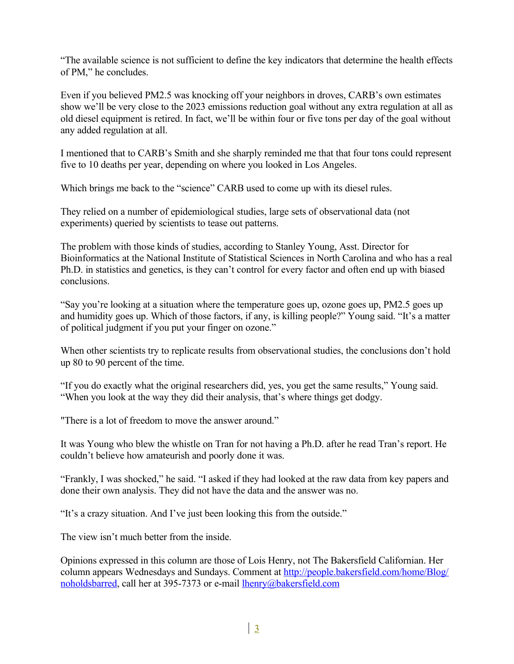"The available science is not sufficient to define the key indicators that determine the health effects of PM," he concludes.

Even if you believed PM2.5 was knocking off your neighbors in droves, CARB's own estimates show we'll be very close to the 2023 emissions reduction goal without any extra regulation at all as old diesel equipment is retired. In fact, we'll be within four or five tons per day of the goal without any added regulation at all.

I mentioned that to CARB's Smith and she sharply reminded me that that four tons could represent five to 10 deaths per year, depending on where you looked in Los Angeles.

Which brings me back to the "science" CARB used to come up with its diesel rules.

They relied on a number of epidemiological studies, large sets of observational data (not experiments) queried by scientists to tease out patterns.

The problem with those kinds of studies, according to Stanley Young, Asst. Director for Bioinformatics at the National Institute of Statistical Sciences in North Carolina and who has a real Ph.D. in statistics and genetics, is they can't control for every factor and often end up with biased conclusions.

"Say you're looking at a situation where the temperature goes up, ozone goes up, PM2.5 goes up and humidity goes up. Which of those factors, if any, is killing people?" Young said. "It's a matter of political judgment if you put your finger on ozone."

When other scientists try to replicate results from observational studies, the conclusions don't hold up 80 to 90 percent of the time.

"If you do exactly what the original researchers did, yes, you get the same results," Young said. "When you look at the way they did their analysis, that's where things get dodgy.

"There is a lot of freedom to move the answer around."

It was Young who blew the whistle on Tran for not having a Ph.D. after he read Tran's report. He couldn't believe how amateurish and poorly done it was.

"Frankly, I was shocked," he said. "I asked if they had looked at the raw data from key papers and done their own analysis. They did not have the data and the answer was no.

"It's a crazy situation. And I've just been looking this from the outside."

The view isn't much better from the inside.

Opinions expressed in this column are those of Lois Henry, not The Bakersfield Californian. Her column appears Wednesdays and Sundays. Comment at [http://people.bakersfield.com/home/Blog/](http://people.bakersfield.com/home/Blog/noholdsbarred) [noholdsbarred,](http://people.bakersfield.com/home/Blog/noholdsbarred) call her at 395-7373 or e-mail [lhenry@bakersfield.com](mailto:lhenry@bakersfield.com)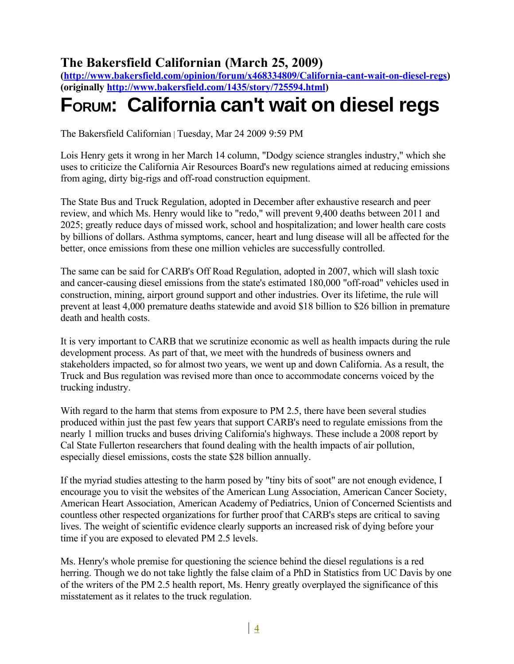## **The Bakersfield Californian (March 25, 2009)**

**[\(http://www.bakersfield.com/opinion/forum/x468334809/California-cant-wait-on-diesel-regs\)](http://www.bakersfield.com/opinion/forum/x468334809/California-cant-wait-on-diesel-regs) (originally [http://www.bakersfield.com/1435/story/725594.html\)](http://www.bakersfield.com/1435/story/725594.html)**

# **FORUM: California can't wait on diesel regs**

The Bakersfield Californian | Tuesday, Mar 24 2009 9:59 PM

Lois Henry gets it wrong in her March 14 column, "Dodgy science strangles industry," which she uses to criticize the California Air Resources Board's new regulations aimed at reducing emissions from aging, dirty big-rigs and off-road construction equipment.

The State Bus and Truck Regulation, adopted in December after exhaustive research and peer review, and which Ms. Henry would like to "redo," will prevent 9,400 deaths between 2011 and 2025; greatly reduce days of missed work, school and hospitalization; and lower health care costs by billions of dollars. Asthma symptoms, cancer, heart and lung disease will all be affected for the better, once emissions from these one million vehicles are successfully controlled.

The same can be said for CARB's Off Road Regulation, adopted in 2007, which will slash toxic and cancer-causing diesel emissions from the state's estimated 180,000 "off-road" vehicles used in construction, mining, airport ground support and other industries. Over its lifetime, the rule will prevent at least 4,000 premature deaths statewide and avoid \$18 billion to \$26 billion in premature death and health costs.

It is very important to CARB that we scrutinize economic as well as health impacts during the rule development process. As part of that, we meet with the hundreds of business owners and stakeholders impacted, so for almost two years, we went up and down California. As a result, the Truck and Bus regulation was revised more than once to accommodate concerns voiced by the trucking industry.

With regard to the harm that stems from exposure to PM 2.5, there have been several studies produced within just the past few years that support CARB's need to regulate emissions from the nearly 1 million trucks and buses driving California's highways. These include a 2008 report by Cal State Fullerton researchers that found dealing with the health impacts of air pollution, especially diesel emissions, costs the state \$28 billion annually.

If the myriad studies attesting to the harm posed by "tiny bits of soot" are not enough evidence, I encourage you to visit the websites of the American Lung Association, American Cancer Society, American Heart Association, American Academy of Pediatrics, Union of Concerned Scientists and countless other respected organizations for further proof that CARB's steps are critical to saving lives. The weight of scientific evidence clearly supports an increased risk of dying before your time if you are exposed to elevated PM 2.5 levels.

Ms. Henry's whole premise for questioning the science behind the diesel regulations is a red herring. Though we do not take lightly the false claim of a PhD in Statistics from UC Davis by one of the writers of the PM 2.5 health report, Ms. Henry greatly overplayed the significance of this misstatement as it relates to the truck regulation.